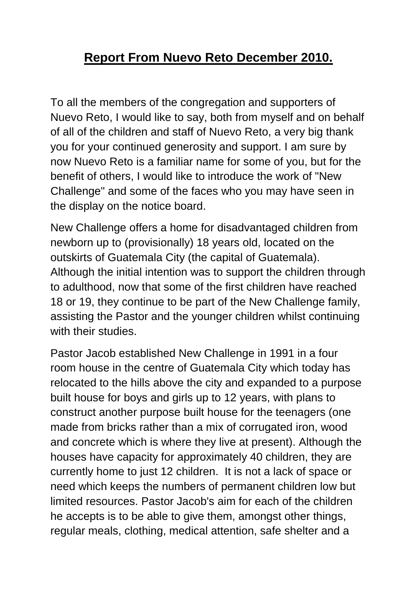## **Report From Nuevo Reto December 2010.**

To all the members of the congregation and supporters of Nuevo Reto, I would like to say, both from myself and on behalf of all of the children and staff of Nuevo Reto, a very big thank you for your continued generosity and support. I am sure by now Nuevo Reto is a familiar name for some of you, but for the benefit of others, I would like to introduce the work of "New Challenge" and some of the faces who you may have seen in the display on the notice board.

New Challenge offers a home for disadvantaged children from newborn up to (provisionally) 18 years old, located on the outskirts of Guatemala City (the capital of Guatemala). Although the initial intention was to support the children through to adulthood, now that some of the first children have reached 18 or 19, they continue to be part of the New Challenge family, assisting the Pastor and the younger children whilst continuing with their studies.

Pastor Jacob established New Challenge in 1991 in a four room house in the centre of Guatemala City which today has relocated to the hills above the city and expanded to a purpose built house for boys and girls up to 12 years, with plans to construct another purpose built house for the teenagers (one made from bricks rather than a mix of corrugated iron, wood and concrete which is where they live at present). Although the houses have capacity for approximately 40 children, they are currently home to just 12 children. It is not a lack of space or need which keeps the numbers of permanent children low but limited resources. Pastor Jacob's aim for each of the children he accepts is to be able to give them, amongst other things, regular meals, clothing, medical attention, safe shelter and a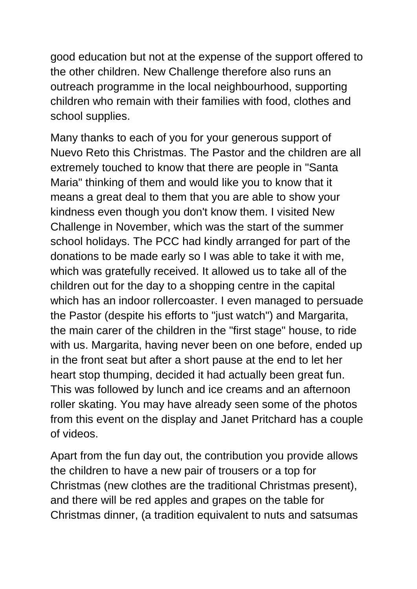good education but not at the expense of the support offered to the other children. New Challenge therefore also runs an outreach programme in the local neighbourhood, supporting children who remain with their families with food, clothes and school supplies.

Many thanks to each of you for your generous support of Nuevo Reto this Christmas. The Pastor and the children are all extremely touched to know that there are people in "Santa Maria" thinking of them and would like you to know that it means a great deal to them that you are able to show your kindness even though you don't know them. I visited New Challenge in November, which was the start of the summer school holidays. The PCC had kindly arranged for part of the donations to be made early so I was able to take it with me, which was gratefully received. It allowed us to take all of the children out for the day to a shopping centre in the capital which has an indoor rollercoaster. I even managed to persuade the Pastor (despite his efforts to "just watch") and Margarita, the main carer of the children in the "first stage" house, to ride with us. Margarita, having never been on one before, ended up in the front seat but after a short pause at the end to let her heart stop thumping, decided it had actually been great fun. This was followed by lunch and ice creams and an afternoon roller skating. You may have already seen some of the photos from this event on the display and Janet Pritchard has a couple of videos.

Apart from the fun day out, the contribution you provide allows the children to have a new pair of trousers or a top for Christmas (new clothes are the traditional Christmas present), and there will be red apples and grapes on the table for Christmas dinner, (a tradition equivalent to nuts and satsumas